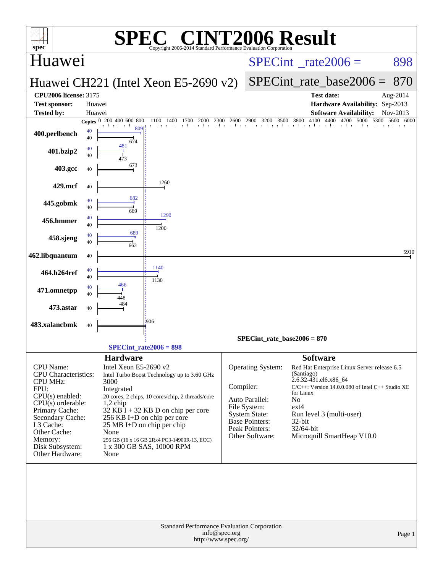| <b>C® CINT2006 Result</b><br><b>SPE</b><br>$spec^*$<br>Copyright 2006-2014 Standard Performance Evaluation Corporation |                  |                                                  |                                                                     |               |                                         |                                                        |                                                                  |              |  |  |  |
|------------------------------------------------------------------------------------------------------------------------|------------------|--------------------------------------------------|---------------------------------------------------------------------|---------------|-----------------------------------------|--------------------------------------------------------|------------------------------------------------------------------|--------------|--|--|--|
| Huawei                                                                                                                 |                  |                                                  |                                                                     |               | $SPECint^{\circ}$ rate $2006 =$         |                                                        |                                                                  | 898          |  |  |  |
|                                                                                                                        |                  |                                                  | Huawei CH221 (Intel Xeon E5-2690 v2)                                |               |                                         |                                                        | $SPECint_rate base2006 =$                                        | 870          |  |  |  |
| <b>CPU2006 license: 3175</b>                                                                                           |                  |                                                  |                                                                     |               |                                         |                                                        | <b>Test date:</b>                                                | Aug-2014     |  |  |  |
| <b>Test sponsor:</b><br><b>Tested by:</b>                                                                              | Huawei<br>Huawei |                                                  |                                                                     |               |                                         |                                                        | Hardware Availability: Sep-2013<br><b>Software Availability:</b> | Nov-2013     |  |  |  |
|                                                                                                                        |                  | Copies 0 200 400 600 800                         | 2300<br>1100<br>1400<br>1700<br>2000<br>. I I I I I I I I I I I I I | 2600          | 2900<br>3200 3500 3800                  | 4100                                                   | 4400 4700 5000<br>5300                                           | 5600<br>6000 |  |  |  |
| 400.perlbench                                                                                                          | 40<br>40         | 809<br>674                                       |                                                                     |               |                                         |                                                        |                                                                  |              |  |  |  |
| 401.bzip2                                                                                                              | 40<br>40         | 481<br>473                                       |                                                                     |               |                                         |                                                        |                                                                  |              |  |  |  |
| 403.gcc                                                                                                                | 40               | 673                                              |                                                                     |               |                                         |                                                        |                                                                  |              |  |  |  |
| 429.mcf                                                                                                                | 40               | 682                                              | 1260                                                                |               |                                         |                                                        |                                                                  |              |  |  |  |
| 445.gobmk                                                                                                              | 40<br>40         | 669                                              | 1290                                                                |               |                                         |                                                        |                                                                  |              |  |  |  |
| 456.hmmer                                                                                                              | 40<br>40         |                                                  | 1200                                                                |               |                                         |                                                        |                                                                  |              |  |  |  |
| 458.sjeng                                                                                                              | 40<br>40         | 689<br>662                                       |                                                                     |               |                                         |                                                        |                                                                  |              |  |  |  |
| 462.libquantum                                                                                                         | 40               |                                                  |                                                                     |               |                                         |                                                        |                                                                  | 5910         |  |  |  |
| 464.h264ref                                                                                                            | 40<br>40         |                                                  | 1140<br>1130                                                        |               |                                         |                                                        |                                                                  |              |  |  |  |
| 471.omnetpp                                                                                                            | 40<br>40         | 466<br>448                                       |                                                                     |               |                                         |                                                        |                                                                  |              |  |  |  |
| 473.astar                                                                                                              | 40               | 484                                              |                                                                     |               |                                         |                                                        |                                                                  |              |  |  |  |
| 483.xalancbmk                                                                                                          | 40               |                                                  | 906                                                                 |               |                                         |                                                        |                                                                  |              |  |  |  |
|                                                                                                                        |                  |                                                  | $SPECint_rate2006 = 898$                                            |               | SPECint rate base $2006 = 870$          |                                                        |                                                                  |              |  |  |  |
|                                                                                                                        |                  |                                                  |                                                                     |               |                                         |                                                        |                                                                  |              |  |  |  |
| CPU Name:<br><b>CPU</b> Characteristics:<br><b>CPU MHz:</b>                                                            |                  | <b>Hardware</b><br>Intel Xeon E5-2690 v2<br>3000 | Intel Turbo Boost Technology up to 3.60 GHz                         |               | Operating System:                       | <b>Software</b><br>(Santiago)<br>2.6.32-431.el6.x86_64 | Red Hat Enterprise Linux Server release 6.5                      |              |  |  |  |
| FPU:                                                                                                                   |                  | Integrated                                       |                                                                     | Compiler:     |                                         | for Linux                                              | $C/C++$ : Version 14.0.0.080 of Intel $C++$ Studio XE            |              |  |  |  |
| $CPU(s)$ enabled:<br>$CPU(s)$ orderable:                                                                               |                  | $1,2$ chip                                       | 20 cores, 2 chips, 10 cores/chip, 2 threads/core                    |               | Auto Parallel:                          | No                                                     |                                                                  |              |  |  |  |
| Primary Cache:<br>Secondary Cache:                                                                                     |                  |                                                  | $32$ KB I + 32 KB D on chip per core<br>256 KB I+D on chip per core |               | File System:<br><b>System State:</b>    | $ext{4}$                                               | Run level 3 (multi-user)                                         |              |  |  |  |
| L3 Cache:                                                                                                              |                  |                                                  | 25 MB I+D on chip per chip                                          |               | <b>Base Pointers:</b><br>Peak Pointers: | $32$ -bit<br>32/64-bit                                 |                                                                  |              |  |  |  |
| Other Cache:<br>Memory:                                                                                                |                  | None                                             | 256 GB (16 x 16 GB 2Rx4 PC3-14900R-13, ECC)                         |               | Other Software:                         |                                                        | Microquill SmartHeap V10.0                                       |              |  |  |  |
| Disk Subsystem:<br>Other Hardware:                                                                                     |                  | None                                             | 1 x 300 GB SAS, 10000 RPM                                           |               |                                         |                                                        |                                                                  |              |  |  |  |
|                                                                                                                        |                  |                                                  | Standard Performance Evaluation Corporation                         |               |                                         |                                                        |                                                                  |              |  |  |  |
|                                                                                                                        |                  |                                                  | http://www.spec.org/                                                | info@spec.org |                                         |                                                        |                                                                  | Page 1       |  |  |  |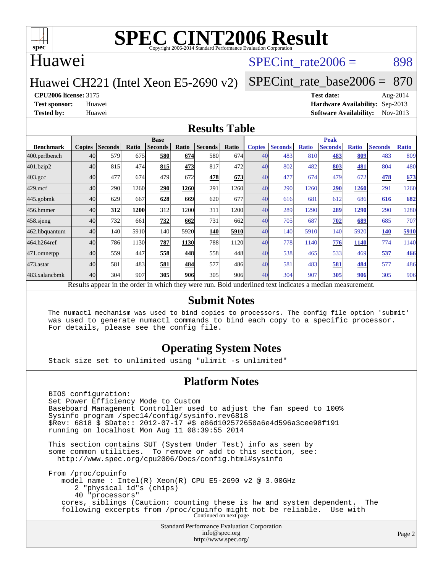

### Huawei

### SPECint rate $2006 = 898$

#### Huawei CH221 (Intel Xeon E5-2690 v2)

[SPECint\\_rate\\_base2006 =](http://www.spec.org/auto/cpu2006/Docs/result-fields.html#SPECintratebase2006) 870

**[CPU2006 license:](http://www.spec.org/auto/cpu2006/Docs/result-fields.html#CPU2006license)** 3175 **[Test date:](http://www.spec.org/auto/cpu2006/Docs/result-fields.html#Testdate)** Aug-2014

**[Test sponsor:](http://www.spec.org/auto/cpu2006/Docs/result-fields.html#Testsponsor)** Huawei **[Hardware Availability:](http://www.spec.org/auto/cpu2006/Docs/result-fields.html#HardwareAvailability)** Sep-2013 **[Tested by:](http://www.spec.org/auto/cpu2006/Docs/result-fields.html#Testedby)** Huawei **[Software Availability:](http://www.spec.org/auto/cpu2006/Docs/result-fields.html#SoftwareAvailability)** Nov-2013

#### **[Results Table](http://www.spec.org/auto/cpu2006/Docs/result-fields.html#ResultsTable)**

|                                                                                                          | <b>Base</b>   |                |       |                |             |                |       | <b>Peak</b>   |                |              |                |              |                |              |
|----------------------------------------------------------------------------------------------------------|---------------|----------------|-------|----------------|-------------|----------------|-------|---------------|----------------|--------------|----------------|--------------|----------------|--------------|
| <b>Benchmark</b>                                                                                         | <b>Copies</b> | <b>Seconds</b> | Ratio | <b>Seconds</b> | Ratio       | <b>Seconds</b> | Ratio | <b>Copies</b> | <b>Seconds</b> | <b>Ratio</b> | <b>Seconds</b> | <b>Ratio</b> | <b>Seconds</b> | <b>Ratio</b> |
| 400.perlbench                                                                                            | 40            | 579            | 675   | 580            | 674         | 580            | 674   | 40            | 483            | 810          | 483            | 809          | 483            | 809          |
| 401.bzip2                                                                                                | 40            | 815            | 474   | 815            | 473         | 817            | 472   | 40            | 802            | 482          | 803            | 481          | 804            | 480          |
| $403.\text{gcc}$                                                                                         | 40            | 477            | 674   | 479            | 672         | 478            | 673   | 40            | 477            | 674          | 479            | 672          | 478            | 673          |
| $429$ .mcf                                                                                               | 40            | 290            | 1260  | 290            | <b>1260</b> | 291            | 1260  | 40            | 290            | 1260         | 290            | 1260         | 291            | 1260         |
| $445$ .gobmk                                                                                             | 40            | 629            | 667   | 628            | 669         | 620            | 677   | 40            | 616            | 681          | 612            | 686          | 616            | 682          |
| 456.hmmer                                                                                                | 40            | 312            | 1200  | 312            | 1200        | 311            | 1200  | 40            | 289            | 1290         | 289            | <b>1290</b>  | 290            | 1280         |
| $458$ .sjeng                                                                                             | 40            | 732            | 661   | 732            | 662         | 731            | 662   | 40            | 705            | 687          | 702            | 689          | 685            | 707          |
| 462.libquantum                                                                                           | 40            | 140            | 5910  | 140            | 5920        | 140            | 5910  | 40            | 140            | 5910         | 140            | 5920         | 140            | 5910         |
| 464.h264ref                                                                                              | 40            | 786            | 1130  | 787            | 1130        | 788            | 1120  | 40            | 778            | 1140         | 776            | 1140         | 774            | 1140         |
| 471.omnetpp                                                                                              | 40            | 559            | 447   | 558            | 448         | 558            | 448   | 40            | 538            | 465          | 533            | 469          | 537            | 466          |
| 473.astar                                                                                                | 40            | 581            | 483   | 581            | 484         | 577            | 486   | 40            | 581            | 483          | 581            | 484          | 577            | 486          |
| 483.xalancbmk                                                                                            | 40            | 304            | 907   | 305            | 906         | 305            | 906   | 40            | 304            | 907          | 305            | 906          | 305            | 906          |
| Results appear in the order in which they were run. Bold underlined text indicates a median measurement. |               |                |       |                |             |                |       |               |                |              |                |              |                |              |

#### **[Submit Notes](http://www.spec.org/auto/cpu2006/Docs/result-fields.html#SubmitNotes)**

 The numactl mechanism was used to bind copies to processors. The config file option 'submit' was used to generate numactl commands to bind each copy to a specific processor. For details, please see the config file.

#### **[Operating System Notes](http://www.spec.org/auto/cpu2006/Docs/result-fields.html#OperatingSystemNotes)**

Stack size set to unlimited using "ulimit -s unlimited"

#### **[Platform Notes](http://www.spec.org/auto/cpu2006/Docs/result-fields.html#PlatformNotes)**

 BIOS configuration: Set Power Efficiency Mode to Custom Baseboard Management Controller used to adjust the fan speed to 100% Sysinfo program /spec14/config/sysinfo.rev6818 \$Rev: 6818 \$ \$Date:: 2012-07-17 #\$ e86d102572650a6e4d596a3cee98f191 running on localhost Mon Aug 11 08:39:55 2014 This section contains SUT (System Under Test) info as seen by some common utilities. To remove or add to this section, see: <http://www.spec.org/cpu2006/Docs/config.html#sysinfo> From /proc/cpuinfo model name : Intel(R) Xeon(R) CPU E5-2690 v2 @ 3.00GHz 2 "physical id"s (chips) 40 "processors" cores, siblings (Caution: counting these is hw and system dependent. The following excerpts from /proc/cpuinfo might not be reliable. Use with Continued on next page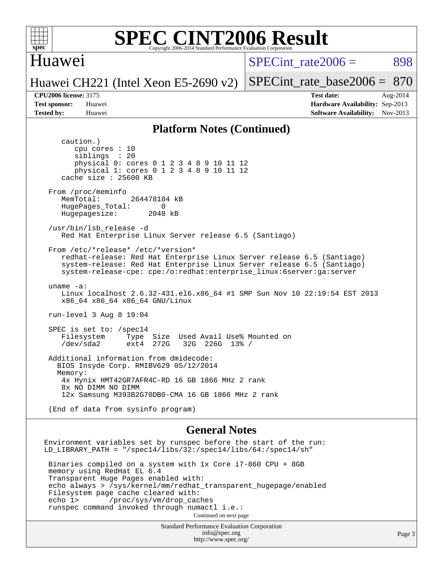

### Huawei

SPECint rate $2006 = 898$ 

Huawei CH221 (Intel Xeon E5-2690 v2)

[SPECint\\_rate\\_base2006 =](http://www.spec.org/auto/cpu2006/Docs/result-fields.html#SPECintratebase2006) 870

**[CPU2006 license:](http://www.spec.org/auto/cpu2006/Docs/result-fields.html#CPU2006license)** 3175 **[Test date:](http://www.spec.org/auto/cpu2006/Docs/result-fields.html#Testdate)** Aug-2014 **[Test sponsor:](http://www.spec.org/auto/cpu2006/Docs/result-fields.html#Testsponsor)** Huawei **[Hardware Availability:](http://www.spec.org/auto/cpu2006/Docs/result-fields.html#HardwareAvailability)** Sep-2013 **[Tested by:](http://www.spec.org/auto/cpu2006/Docs/result-fields.html#Testedby)** Huawei **[Software Availability:](http://www.spec.org/auto/cpu2006/Docs/result-fields.html#SoftwareAvailability)** Nov-2013

#### **[Platform Notes \(Continued\)](http://www.spec.org/auto/cpu2006/Docs/result-fields.html#PlatformNotes)**

 caution.) cpu cores : 10 siblings : 20 physical 0: cores 0 1 2 3 4 8 9 10 11 12 physical 1: cores 0 1 2 3 4 8 9 10 11 12 cache size : 25600 KB From /proc/meminfo MemTotal: 264478184 kB HugePages\_Total: 0<br>Hugepagesize: 2048 kB Hugepagesize: /usr/bin/lsb\_release -d Red Hat Enterprise Linux Server release 6.5 (Santiago) From /etc/\*release\* /etc/\*version\* redhat-release: Red Hat Enterprise Linux Server release 6.5 (Santiago) system-release: Red Hat Enterprise Linux Server release 6.5 (Santiago) system-release-cpe: cpe:/o:redhat:enterprise\_linux:6server:ga:server uname -a: Linux localhost 2.6.32-431.el6.x86\_64 #1 SMP Sun Nov 10 22:19:54 EST 2013 x86\_64 x86\_64 x86\_64 GNU/Linux run-level 3 Aug 8 19:04 SPEC is set to: /spec14 Filesystem Type Size Used Avail Use% Mounted on<br>
/dev/sda2 ext4 272G 32G 226G 13% / 32G 226G 13% / Additional information from dmidecode: BIOS Insyde Corp. RMIBV629 05/12/2014 Memory: 4x Hynix HMT42GR7AFR4C-RD 16 GB 1866 MHz 2 rank 8x NO DIMM NO DIMM 12x Samsung M393B2G70DB0-CMA 16 GB 1866 MHz 2 rank (End of data from sysinfo program) **[General Notes](http://www.spec.org/auto/cpu2006/Docs/result-fields.html#GeneralNotes)**

Environment variables set by runspec before the start of the run: LD\_LIBRARY\_PATH = "/spec14/libs/32:/spec14/libs/64:/spec14/sh"

 Binaries compiled on a system with 1x Core i7-860 CPU + 8GB memory using RedHat EL 6.4 Transparent Huge Pages enabled with: echo always > /sys/kernel/mm/redhat\_transparent\_hugepage/enabled Filesystem page cache cleared with:<br>echo 1> /proc/sys/vm/drop cac /proc/sys/vm/drop\_caches runspec command invoked through numactl i.e.: Continued on next page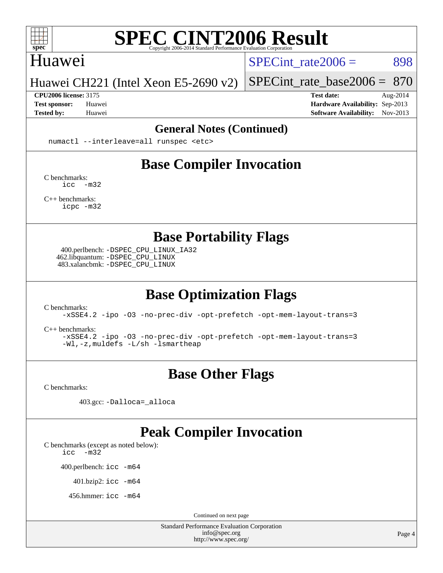

#### Huawei

SPECint rate $2006 = 898$ 

#### Huawei CH221 (Intel Xeon E5-2690 v2)

**[CPU2006 license:](http://www.spec.org/auto/cpu2006/Docs/result-fields.html#CPU2006license)** 3175 **[Test date:](http://www.spec.org/auto/cpu2006/Docs/result-fields.html#Testdate)** Aug-2014

[SPECint\\_rate\\_base2006 =](http://www.spec.org/auto/cpu2006/Docs/result-fields.html#SPECintratebase2006) 870

**[Test sponsor:](http://www.spec.org/auto/cpu2006/Docs/result-fields.html#Testsponsor)** Huawei **[Hardware Availability:](http://www.spec.org/auto/cpu2006/Docs/result-fields.html#HardwareAvailability)** Sep-2013 **[Tested by:](http://www.spec.org/auto/cpu2006/Docs/result-fields.html#Testedby)** Huawei **[Software Availability:](http://www.spec.org/auto/cpu2006/Docs/result-fields.html#SoftwareAvailability)** Nov-2013

#### **[General Notes \(Continued\)](http://www.spec.org/auto/cpu2006/Docs/result-fields.html#GeneralNotes)**

numactl --interleave=all runspec <etc>

# **[Base Compiler Invocation](http://www.spec.org/auto/cpu2006/Docs/result-fields.html#BaseCompilerInvocation)**

[C benchmarks](http://www.spec.org/auto/cpu2006/Docs/result-fields.html#Cbenchmarks): [icc -m32](http://www.spec.org/cpu2006/results/res2014q3/cpu2006-20140815-30938.flags.html#user_CCbase_intel_icc_5ff4a39e364c98233615fdd38438c6f2)

[C++ benchmarks:](http://www.spec.org/auto/cpu2006/Docs/result-fields.html#CXXbenchmarks) [icpc -m32](http://www.spec.org/cpu2006/results/res2014q3/cpu2006-20140815-30938.flags.html#user_CXXbase_intel_icpc_4e5a5ef1a53fd332b3c49e69c3330699)

**[Base Portability Flags](http://www.spec.org/auto/cpu2006/Docs/result-fields.html#BasePortabilityFlags)**

 400.perlbench: [-DSPEC\\_CPU\\_LINUX\\_IA32](http://www.spec.org/cpu2006/results/res2014q3/cpu2006-20140815-30938.flags.html#b400.perlbench_baseCPORTABILITY_DSPEC_CPU_LINUX_IA32) 462.libquantum: [-DSPEC\\_CPU\\_LINUX](http://www.spec.org/cpu2006/results/res2014q3/cpu2006-20140815-30938.flags.html#b462.libquantum_baseCPORTABILITY_DSPEC_CPU_LINUX) 483.xalancbmk: [-DSPEC\\_CPU\\_LINUX](http://www.spec.org/cpu2006/results/res2014q3/cpu2006-20140815-30938.flags.html#b483.xalancbmk_baseCXXPORTABILITY_DSPEC_CPU_LINUX)

# **[Base Optimization Flags](http://www.spec.org/auto/cpu2006/Docs/result-fields.html#BaseOptimizationFlags)**

[C benchmarks](http://www.spec.org/auto/cpu2006/Docs/result-fields.html#Cbenchmarks):

[-xSSE4.2](http://www.spec.org/cpu2006/results/res2014q3/cpu2006-20140815-30938.flags.html#user_CCbase_f-xSSE42_f91528193cf0b216347adb8b939d4107) [-ipo](http://www.spec.org/cpu2006/results/res2014q3/cpu2006-20140815-30938.flags.html#user_CCbase_f-ipo) [-O3](http://www.spec.org/cpu2006/results/res2014q3/cpu2006-20140815-30938.flags.html#user_CCbase_f-O3) [-no-prec-div](http://www.spec.org/cpu2006/results/res2014q3/cpu2006-20140815-30938.flags.html#user_CCbase_f-no-prec-div) [-opt-prefetch](http://www.spec.org/cpu2006/results/res2014q3/cpu2006-20140815-30938.flags.html#user_CCbase_f-opt-prefetch) [-opt-mem-layout-trans=3](http://www.spec.org/cpu2006/results/res2014q3/cpu2006-20140815-30938.flags.html#user_CCbase_f-opt-mem-layout-trans_a7b82ad4bd7abf52556d4961a2ae94d5)

[C++ benchmarks:](http://www.spec.org/auto/cpu2006/Docs/result-fields.html#CXXbenchmarks)

[-xSSE4.2](http://www.spec.org/cpu2006/results/res2014q3/cpu2006-20140815-30938.flags.html#user_CXXbase_f-xSSE42_f91528193cf0b216347adb8b939d4107) [-ipo](http://www.spec.org/cpu2006/results/res2014q3/cpu2006-20140815-30938.flags.html#user_CXXbase_f-ipo) [-O3](http://www.spec.org/cpu2006/results/res2014q3/cpu2006-20140815-30938.flags.html#user_CXXbase_f-O3) [-no-prec-div](http://www.spec.org/cpu2006/results/res2014q3/cpu2006-20140815-30938.flags.html#user_CXXbase_f-no-prec-div) [-opt-prefetch](http://www.spec.org/cpu2006/results/res2014q3/cpu2006-20140815-30938.flags.html#user_CXXbase_f-opt-prefetch) [-opt-mem-layout-trans=3](http://www.spec.org/cpu2006/results/res2014q3/cpu2006-20140815-30938.flags.html#user_CXXbase_f-opt-mem-layout-trans_a7b82ad4bd7abf52556d4961a2ae94d5) [-Wl,-z,muldefs](http://www.spec.org/cpu2006/results/res2014q3/cpu2006-20140815-30938.flags.html#user_CXXbase_link_force_multiple1_74079c344b956b9658436fd1b6dd3a8a) [-L/sh -lsmartheap](http://www.spec.org/cpu2006/results/res2014q3/cpu2006-20140815-30938.flags.html#user_CXXbase_SmartHeap_32f6c82aa1ed9c52345d30cf6e4a0499)

## **[Base Other Flags](http://www.spec.org/auto/cpu2006/Docs/result-fields.html#BaseOtherFlags)**

[C benchmarks](http://www.spec.org/auto/cpu2006/Docs/result-fields.html#Cbenchmarks):

403.gcc: [-Dalloca=\\_alloca](http://www.spec.org/cpu2006/results/res2014q3/cpu2006-20140815-30938.flags.html#b403.gcc_baseEXTRA_CFLAGS_Dalloca_be3056838c12de2578596ca5467af7f3)

### **[Peak Compiler Invocation](http://www.spec.org/auto/cpu2006/Docs/result-fields.html#PeakCompilerInvocation)**

[C benchmarks \(except as noted below\)](http://www.spec.org/auto/cpu2006/Docs/result-fields.html#Cbenchmarksexceptasnotedbelow):

[icc -m32](http://www.spec.org/cpu2006/results/res2014q3/cpu2006-20140815-30938.flags.html#user_CCpeak_intel_icc_5ff4a39e364c98233615fdd38438c6f2)

400.perlbench: [icc -m64](http://www.spec.org/cpu2006/results/res2014q3/cpu2006-20140815-30938.flags.html#user_peakCCLD400_perlbench_intel_icc_64bit_bda6cc9af1fdbb0edc3795bac97ada53)

401.bzip2: [icc -m64](http://www.spec.org/cpu2006/results/res2014q3/cpu2006-20140815-30938.flags.html#user_peakCCLD401_bzip2_intel_icc_64bit_bda6cc9af1fdbb0edc3795bac97ada53)

456.hmmer: [icc -m64](http://www.spec.org/cpu2006/results/res2014q3/cpu2006-20140815-30938.flags.html#user_peakCCLD456_hmmer_intel_icc_64bit_bda6cc9af1fdbb0edc3795bac97ada53)

Continued on next page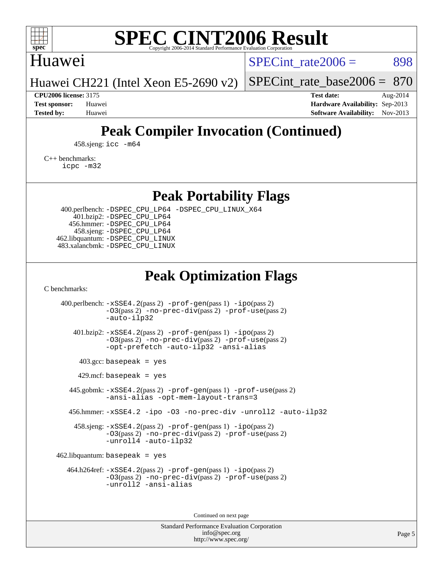

### Huawei

SPECint rate $2006 = 898$ 

[SPECint\\_rate\\_base2006 =](http://www.spec.org/auto/cpu2006/Docs/result-fields.html#SPECintratebase2006) 870

Huawei CH221 (Intel Xeon E5-2690 v2)

**[CPU2006 license:](http://www.spec.org/auto/cpu2006/Docs/result-fields.html#CPU2006license)** 3175 **[Test date:](http://www.spec.org/auto/cpu2006/Docs/result-fields.html#Testdate)** Aug-2014 **[Test sponsor:](http://www.spec.org/auto/cpu2006/Docs/result-fields.html#Testsponsor)** Huawei **[Hardware Availability:](http://www.spec.org/auto/cpu2006/Docs/result-fields.html#HardwareAvailability)** Sep-2013 **[Tested by:](http://www.spec.org/auto/cpu2006/Docs/result-fields.html#Testedby)** Huawei **[Software Availability:](http://www.spec.org/auto/cpu2006/Docs/result-fields.html#SoftwareAvailability)** Nov-2013

# **[Peak Compiler Invocation \(Continued\)](http://www.spec.org/auto/cpu2006/Docs/result-fields.html#PeakCompilerInvocation)**

458.sjeng: [icc -m64](http://www.spec.org/cpu2006/results/res2014q3/cpu2006-20140815-30938.flags.html#user_peakCCLD458_sjeng_intel_icc_64bit_bda6cc9af1fdbb0edc3795bac97ada53)

[C++ benchmarks:](http://www.spec.org/auto/cpu2006/Docs/result-fields.html#CXXbenchmarks) [icpc -m32](http://www.spec.org/cpu2006/results/res2014q3/cpu2006-20140815-30938.flags.html#user_CXXpeak_intel_icpc_4e5a5ef1a53fd332b3c49e69c3330699)

**[Peak Portability Flags](http://www.spec.org/auto/cpu2006/Docs/result-fields.html#PeakPortabilityFlags)**

 400.perlbench: [-DSPEC\\_CPU\\_LP64](http://www.spec.org/cpu2006/results/res2014q3/cpu2006-20140815-30938.flags.html#b400.perlbench_peakCPORTABILITY_DSPEC_CPU_LP64) [-DSPEC\\_CPU\\_LINUX\\_X64](http://www.spec.org/cpu2006/results/res2014q3/cpu2006-20140815-30938.flags.html#b400.perlbench_peakCPORTABILITY_DSPEC_CPU_LINUX_X64) 401.bzip2: [-DSPEC\\_CPU\\_LP64](http://www.spec.org/cpu2006/results/res2014q3/cpu2006-20140815-30938.flags.html#suite_peakCPORTABILITY401_bzip2_DSPEC_CPU_LP64) 456.hmmer: [-DSPEC\\_CPU\\_LP64](http://www.spec.org/cpu2006/results/res2014q3/cpu2006-20140815-30938.flags.html#suite_peakCPORTABILITY456_hmmer_DSPEC_CPU_LP64) 458.sjeng: [-DSPEC\\_CPU\\_LP64](http://www.spec.org/cpu2006/results/res2014q3/cpu2006-20140815-30938.flags.html#suite_peakCPORTABILITY458_sjeng_DSPEC_CPU_LP64) 462.libquantum: [-DSPEC\\_CPU\\_LINUX](http://www.spec.org/cpu2006/results/res2014q3/cpu2006-20140815-30938.flags.html#b462.libquantum_peakCPORTABILITY_DSPEC_CPU_LINUX) 483.xalancbmk: [-DSPEC\\_CPU\\_LINUX](http://www.spec.org/cpu2006/results/res2014q3/cpu2006-20140815-30938.flags.html#b483.xalancbmk_peakCXXPORTABILITY_DSPEC_CPU_LINUX)

# **[Peak Optimization Flags](http://www.spec.org/auto/cpu2006/Docs/result-fields.html#PeakOptimizationFlags)**

[C benchmarks](http://www.spec.org/auto/cpu2006/Docs/result-fields.html#Cbenchmarks):

 400.perlbench: [-xSSE4.2](http://www.spec.org/cpu2006/results/res2014q3/cpu2006-20140815-30938.flags.html#user_peakPASS2_CFLAGSPASS2_LDCFLAGS400_perlbench_f-xSSE42_f91528193cf0b216347adb8b939d4107)(pass 2) [-prof-gen](http://www.spec.org/cpu2006/results/res2014q3/cpu2006-20140815-30938.flags.html#user_peakPASS1_CFLAGSPASS1_LDCFLAGS400_perlbench_prof_gen_e43856698f6ca7b7e442dfd80e94a8fc)(pass 1) [-ipo](http://www.spec.org/cpu2006/results/res2014q3/cpu2006-20140815-30938.flags.html#user_peakPASS2_CFLAGSPASS2_LDCFLAGS400_perlbench_f-ipo)(pass 2) [-O3](http://www.spec.org/cpu2006/results/res2014q3/cpu2006-20140815-30938.flags.html#user_peakPASS2_CFLAGSPASS2_LDCFLAGS400_perlbench_f-O3)(pass 2) [-no-prec-div](http://www.spec.org/cpu2006/results/res2014q3/cpu2006-20140815-30938.flags.html#user_peakPASS2_CFLAGSPASS2_LDCFLAGS400_perlbench_f-no-prec-div)(pass 2) [-prof-use](http://www.spec.org/cpu2006/results/res2014q3/cpu2006-20140815-30938.flags.html#user_peakPASS2_CFLAGSPASS2_LDCFLAGS400_perlbench_prof_use_bccf7792157ff70d64e32fe3e1250b55)(pass 2) [-auto-ilp32](http://www.spec.org/cpu2006/results/res2014q3/cpu2006-20140815-30938.flags.html#user_peakCOPTIMIZE400_perlbench_f-auto-ilp32) 401.bzip2: [-xSSE4.2](http://www.spec.org/cpu2006/results/res2014q3/cpu2006-20140815-30938.flags.html#user_peakPASS2_CFLAGSPASS2_LDCFLAGS401_bzip2_f-xSSE42_f91528193cf0b216347adb8b939d4107)(pass 2) [-prof-gen](http://www.spec.org/cpu2006/results/res2014q3/cpu2006-20140815-30938.flags.html#user_peakPASS1_CFLAGSPASS1_LDCFLAGS401_bzip2_prof_gen_e43856698f6ca7b7e442dfd80e94a8fc)(pass 1) [-ipo](http://www.spec.org/cpu2006/results/res2014q3/cpu2006-20140815-30938.flags.html#user_peakPASS2_CFLAGSPASS2_LDCFLAGS401_bzip2_f-ipo)(pass 2) [-O3](http://www.spec.org/cpu2006/results/res2014q3/cpu2006-20140815-30938.flags.html#user_peakPASS2_CFLAGSPASS2_LDCFLAGS401_bzip2_f-O3)(pass 2) [-no-prec-div](http://www.spec.org/cpu2006/results/res2014q3/cpu2006-20140815-30938.flags.html#user_peakPASS2_CFLAGSPASS2_LDCFLAGS401_bzip2_f-no-prec-div)(pass 2) [-prof-use](http://www.spec.org/cpu2006/results/res2014q3/cpu2006-20140815-30938.flags.html#user_peakPASS2_CFLAGSPASS2_LDCFLAGS401_bzip2_prof_use_bccf7792157ff70d64e32fe3e1250b55)(pass 2) [-opt-prefetch](http://www.spec.org/cpu2006/results/res2014q3/cpu2006-20140815-30938.flags.html#user_peakCOPTIMIZE401_bzip2_f-opt-prefetch) [-auto-ilp32](http://www.spec.org/cpu2006/results/res2014q3/cpu2006-20140815-30938.flags.html#user_peakCOPTIMIZE401_bzip2_f-auto-ilp32) [-ansi-alias](http://www.spec.org/cpu2006/results/res2014q3/cpu2006-20140815-30938.flags.html#user_peakCOPTIMIZE401_bzip2_f-ansi-alias)  $403.\text{gcc: basepeak}$  = yes  $429$ .mcf: basepeak = yes 445.gobmk: [-xSSE4.2](http://www.spec.org/cpu2006/results/res2014q3/cpu2006-20140815-30938.flags.html#user_peakPASS2_CFLAGSPASS2_LDCFLAGS445_gobmk_f-xSSE42_f91528193cf0b216347adb8b939d4107)(pass 2) [-prof-gen](http://www.spec.org/cpu2006/results/res2014q3/cpu2006-20140815-30938.flags.html#user_peakPASS1_CFLAGSPASS1_LDCFLAGS445_gobmk_prof_gen_e43856698f6ca7b7e442dfd80e94a8fc)(pass 1) [-prof-use](http://www.spec.org/cpu2006/results/res2014q3/cpu2006-20140815-30938.flags.html#user_peakPASS2_CFLAGSPASS2_LDCFLAGS445_gobmk_prof_use_bccf7792157ff70d64e32fe3e1250b55)(pass 2) [-ansi-alias](http://www.spec.org/cpu2006/results/res2014q3/cpu2006-20140815-30938.flags.html#user_peakCOPTIMIZE445_gobmk_f-ansi-alias) [-opt-mem-layout-trans=3](http://www.spec.org/cpu2006/results/res2014q3/cpu2006-20140815-30938.flags.html#user_peakCOPTIMIZE445_gobmk_f-opt-mem-layout-trans_a7b82ad4bd7abf52556d4961a2ae94d5) 456.hmmer: [-xSSE4.2](http://www.spec.org/cpu2006/results/res2014q3/cpu2006-20140815-30938.flags.html#user_peakCOPTIMIZE456_hmmer_f-xSSE42_f91528193cf0b216347adb8b939d4107) [-ipo](http://www.spec.org/cpu2006/results/res2014q3/cpu2006-20140815-30938.flags.html#user_peakCOPTIMIZE456_hmmer_f-ipo) [-O3](http://www.spec.org/cpu2006/results/res2014q3/cpu2006-20140815-30938.flags.html#user_peakCOPTIMIZE456_hmmer_f-O3) [-no-prec-div](http://www.spec.org/cpu2006/results/res2014q3/cpu2006-20140815-30938.flags.html#user_peakCOPTIMIZE456_hmmer_f-no-prec-div) [-unroll2](http://www.spec.org/cpu2006/results/res2014q3/cpu2006-20140815-30938.flags.html#user_peakCOPTIMIZE456_hmmer_f-unroll_784dae83bebfb236979b41d2422d7ec2) [-auto-ilp32](http://www.spec.org/cpu2006/results/res2014q3/cpu2006-20140815-30938.flags.html#user_peakCOPTIMIZE456_hmmer_f-auto-ilp32) 458.sjeng: [-xSSE4.2](http://www.spec.org/cpu2006/results/res2014q3/cpu2006-20140815-30938.flags.html#user_peakPASS2_CFLAGSPASS2_LDCFLAGS458_sjeng_f-xSSE42_f91528193cf0b216347adb8b939d4107)(pass 2) [-prof-gen](http://www.spec.org/cpu2006/results/res2014q3/cpu2006-20140815-30938.flags.html#user_peakPASS1_CFLAGSPASS1_LDCFLAGS458_sjeng_prof_gen_e43856698f6ca7b7e442dfd80e94a8fc)(pass 1) [-ipo](http://www.spec.org/cpu2006/results/res2014q3/cpu2006-20140815-30938.flags.html#user_peakPASS2_CFLAGSPASS2_LDCFLAGS458_sjeng_f-ipo)(pass 2) [-O3](http://www.spec.org/cpu2006/results/res2014q3/cpu2006-20140815-30938.flags.html#user_peakPASS2_CFLAGSPASS2_LDCFLAGS458_sjeng_f-O3)(pass 2) [-no-prec-div](http://www.spec.org/cpu2006/results/res2014q3/cpu2006-20140815-30938.flags.html#user_peakPASS2_CFLAGSPASS2_LDCFLAGS458_sjeng_f-no-prec-div)(pass 2) [-prof-use](http://www.spec.org/cpu2006/results/res2014q3/cpu2006-20140815-30938.flags.html#user_peakPASS2_CFLAGSPASS2_LDCFLAGS458_sjeng_prof_use_bccf7792157ff70d64e32fe3e1250b55)(pass 2) [-unroll4](http://www.spec.org/cpu2006/results/res2014q3/cpu2006-20140815-30938.flags.html#user_peakCOPTIMIZE458_sjeng_f-unroll_4e5e4ed65b7fd20bdcd365bec371b81f) [-auto-ilp32](http://www.spec.org/cpu2006/results/res2014q3/cpu2006-20140815-30938.flags.html#user_peakCOPTIMIZE458_sjeng_f-auto-ilp32)  $462$ .libquantum: basepeak = yes 464.h264ref: [-xSSE4.2](http://www.spec.org/cpu2006/results/res2014q3/cpu2006-20140815-30938.flags.html#user_peakPASS2_CFLAGSPASS2_LDCFLAGS464_h264ref_f-xSSE42_f91528193cf0b216347adb8b939d4107)(pass 2) [-prof-gen](http://www.spec.org/cpu2006/results/res2014q3/cpu2006-20140815-30938.flags.html#user_peakPASS1_CFLAGSPASS1_LDCFLAGS464_h264ref_prof_gen_e43856698f6ca7b7e442dfd80e94a8fc)(pass 1) [-ipo](http://www.spec.org/cpu2006/results/res2014q3/cpu2006-20140815-30938.flags.html#user_peakPASS2_CFLAGSPASS2_LDCFLAGS464_h264ref_f-ipo)(pass 2) [-O3](http://www.spec.org/cpu2006/results/res2014q3/cpu2006-20140815-30938.flags.html#user_peakPASS2_CFLAGSPASS2_LDCFLAGS464_h264ref_f-O3)(pass 2) [-no-prec-div](http://www.spec.org/cpu2006/results/res2014q3/cpu2006-20140815-30938.flags.html#user_peakPASS2_CFLAGSPASS2_LDCFLAGS464_h264ref_f-no-prec-div)(pass 2) [-prof-use](http://www.spec.org/cpu2006/results/res2014q3/cpu2006-20140815-30938.flags.html#user_peakPASS2_CFLAGSPASS2_LDCFLAGS464_h264ref_prof_use_bccf7792157ff70d64e32fe3e1250b55)(pass 2) [-unroll2](http://www.spec.org/cpu2006/results/res2014q3/cpu2006-20140815-30938.flags.html#user_peakCOPTIMIZE464_h264ref_f-unroll_784dae83bebfb236979b41d2422d7ec2) [-ansi-alias](http://www.spec.org/cpu2006/results/res2014q3/cpu2006-20140815-30938.flags.html#user_peakCOPTIMIZE464_h264ref_f-ansi-alias)

Continued on next page